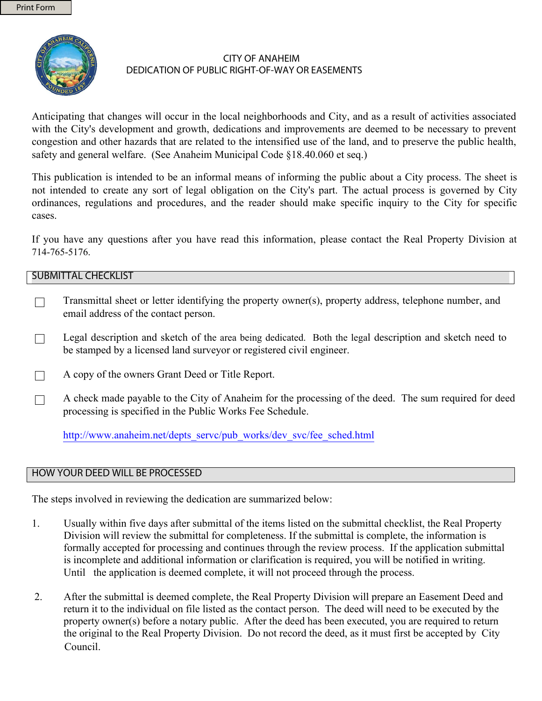

## **CITY OF ANAHEIM** DEDICATION OF PUBLIC RIGHT-OF-WAY OR EASEMENTS

Anticipating that changes will occur in the local neighborhoods and City, and as a result of activities associated with the City's development and growth, dedications and improvements are deemed to be necessary to prevent congestion and other hazards that are related to the intensified use of the land, and to preserve the public health, safety and general welfare. (See Anaheim Municipal Code §18.40.060 et seq.)

This publication is intended to be an informal means of informing the public about a City process. The sheet is not intended to create any sort of legal obligation on the City's part. The actual process is governed by City ordinances, regulations and procedures, and the reader should make specific inquiry to the City for specific cases.

If you have any questions after you have read this information, please contact the Real Property Division at 714-765-5176.

## **SUBMITTAL CHECKLIST**

- Transmittal sheet or letter identifying the property owner(s), property address, telephone number, and  $\Box$ email address of the contact person.
- Legal description and sketch of the area being dedicated. Both the legal description and sketch need to  $\Box$ be stamped by a licensed land survey or registered civil engineer.
- A copy of the owners Grant Deed or Title Report.  $\Box$
- A check made payable to the City of Anaheim for the processing of the deed. The sum required for deed  $\Box$ processing is specified in the Public Works Fee Schedule.

http://www.anaheim.net/depts servc/pub works/dev svc/fee sched.html

## HOW YOUR DEED WILL BE PROCESSED

The steps involved in reviewing the dedication are summarized below:

- $\mathbf{1}$ Usually within five days after submittal of the items listed on the submittal checklist, the Real Property Division will review the submittal for completeness. If the submittal is complete, the information is formally accepted for processing and continues through the review process. If the application submittal is incomplete and additional information or clarification is required, you will be notified in writing. Until the application is deemed complete, it will not proceed through the process.
- $\overline{2}$ After the submittal is deemed complete, the Real Property Division will prepare an Easement Deed and return it to the individual on file listed as the contact person. The deed will need to be executed by the property owner(s) before a notary public. After the deed has been executed, you are required to return the original to the Real Property Division. Do not record the deed, as it must first be accepted by City Council